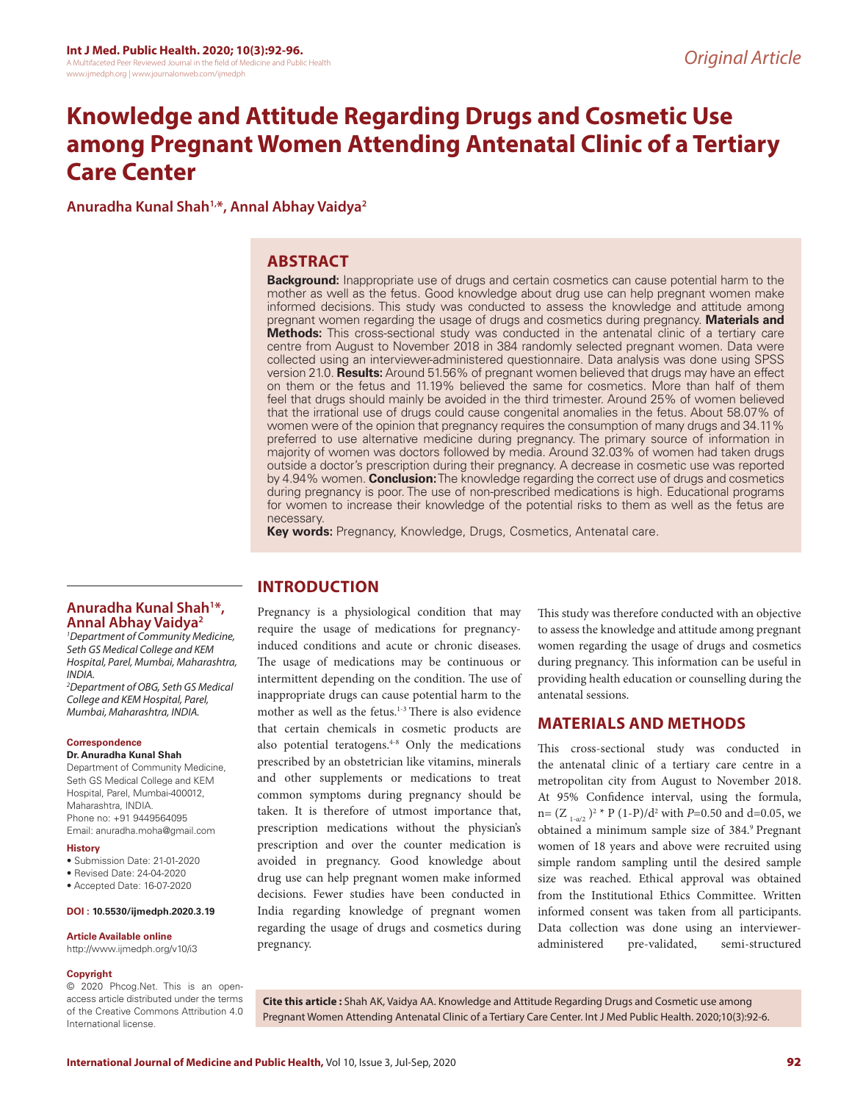# **Knowledge and Attitude Regarding Drugs and Cosmetic Use among Pregnant Women Attending Antenatal Clinic of a Tertiary Care Center**

**Anuradha Kunal Shah1,\*, Annal Abhay Vaidya2**

# **ABSTRACT**

**Background:** Inappropriate use of drugs and certain cosmetics can cause potential harm to the mother as well as the fetus. Good knowledge about drug use can help pregnant women make informed decisions. This study was conducted to assess the knowledge and attitude among pregnant women regarding the usage of drugs and cosmetics during pregnancy. **Materials and Methods:** This cross-sectional study was conducted in the antenatal clinic of a tertiary care centre from August to November 2018 in 384 randomly selected pregnant women. Data were collected using an interviewer-administered questionnaire. Data analysis was done using SPSS version 21.0. **Results:** Around 51.56% of pregnant women believed that drugs may have an effect on them or the fetus and 11.19% believed the same for cosmetics. More than half of them feel that drugs should mainly be avoided in the third trimester. Around 25% of women believed that the irrational use of drugs could cause congenital anomalies in the fetus. About 58.07% of women were of the opinion that pregnancy requires the consumption of many drugs and 34.11% preferred to use alternative medicine during pregnancy. The primary source of information in majority of women was doctors followed by media. Around 32.03% of women had taken drugs outside a doctor's prescription during their pregnancy. A decrease in cosmetic use was reported by 4.94% women. **Conclusion:** The knowledge regarding the correct use of drugs and cosmetics during pregnancy is poor. The use of non-prescribed medications is high. Educational programs for women to increase their knowledge of the potential risks to them as well as the fetus are necessary.

**Key words:** Pregnancy, Knowledge, Drugs, Cosmetics, Antenatal care.

## **Anuradha Kunal Shah1 \*, Annal Abhay Vaidya2**

*1 Department of Community Medicine, Seth GS Medical College and KEM Hospital, Parel, Mumbai, Maharashtra, INDIA.*

*2 Department of OBG, Seth GS Medical College and KEM Hospital, Parel, Mumbai, Maharashtra, INDIA.*

#### **Correspondence**

#### **Dr. Anuradha Kunal Shah**

Department of Community Medicine, Seth GS Medical College and KEM Hospital, Parel, Mumbai-400012, Maharashtra, INDIA. Phone no: +91 9449564095 Email: anuradha.moha@gmail.com

#### **History**

- Submission Date: 21-01-2020
- Revised Date: 24-04-2020
- Accepted Date: 16-07-2020

#### **DOI : 10.5530/ijmedph.2020.3.19**

#### **Article Available online**

http://www.ijmedph.org/v10/i3

#### **Copyright**

© 2020 Phcog.Net. This is an openaccess article distributed under the terms of the Creative Commons Attribution 4.0 International license.

# **INTRODUCTION**

Pregnancy is a physiological condition that may require the usage of medications for pregnancyinduced conditions and acute or chronic diseases. The usage of medications may be continuous or intermittent depending on the condition. The use of inappropriate drugs can cause potential harm to the mother as well as the fetus.<sup>1-3</sup> There is also evidence that certain chemicals in cosmetic products are also potential teratogens.<sup>4-8</sup> Only the medications prescribed by an obstetrician like vitamins, minerals and other supplements or medications to treat common symptoms during pregnancy should be taken. It is therefore of utmost importance that, prescription medications without the physician's prescription and over the counter medication is avoided in pregnancy. Good knowledge about drug use can help pregnant women make informed decisions. Fewer studies have been conducted in India regarding knowledge of pregnant women regarding the usage of drugs and cosmetics during pregnancy.

This study was therefore conducted with an objective to assess the knowledge and attitude among pregnant women regarding the usage of drugs and cosmetics during pregnancy. This information can be useful in providing health education or counselling during the antenatal sessions.

## **MATERIALS AND METHODS**

This cross-sectional study was conducted in the antenatal clinic of a tertiary care centre in a metropolitan city from August to November 2018. At 95% Confidence interval, using the formula, n=  $(Z_{1-a/2})^2$ <sup>\*</sup> P (1-P)/d<sup>2</sup> with *P*=0.50 and d=0.05, we obtained a minimum sample size of 384.9 Pregnant women of 18 years and above were recruited using simple random sampling until the desired sample size was reached. Ethical approval was obtained from the Institutional Ethics Committee. Written informed consent was taken from all participants. Data collection was done using an intervieweradministered pre-validated, semi-structured

**Cite this article :** Shah AK, Vaidya AA. Knowledge and Attitude Regarding Drugs and Cosmetic use among Pregnant Women Attending Antenatal Clinic of a Tertiary Care Center. Int J Med Public Health. 2020;10(3):92-6.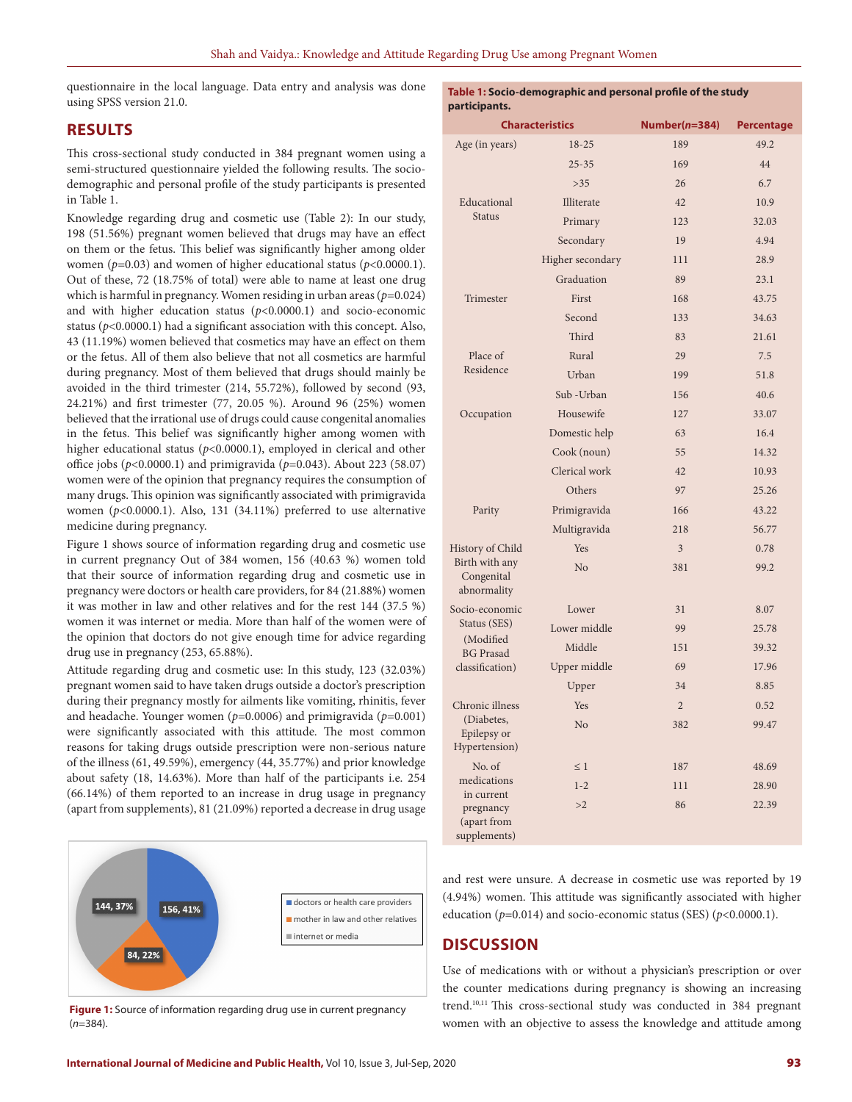questionnaire in the local language. Data entry and analysis was done using SPSS version 21.0.

## **RESULTS**

This cross-sectional study conducted in 384 pregnant women using a semi-structured questionnaire yielded the following results. The sociodemographic and personal profile of the study participants is presented in Table 1.

Knowledge regarding drug and cosmetic use (Table 2): In our study, 198 (51.56%) pregnant women believed that drugs may have an effect on them or the fetus. This belief was significantly higher among older women (*p*=0.03) and women of higher educational status (*p*<0.0000.1). Out of these, 72 (18.75% of total) were able to name at least one drug which is harmful in pregnancy. Women residing in urban areas (*p*=0.024) and with higher education status (*p*<0.0000.1) and socio-economic status ( $p$ <0.0000.1) had a significant association with this concept. Also, 43 (11.19%) women believed that cosmetics may have an effect on them or the fetus. All of them also believe that not all cosmetics are harmful during pregnancy. Most of them believed that drugs should mainly be avoided in the third trimester (214, 55.72%), followed by second (93, 24.21%) and first trimester (77, 20.05 %). Around 96 (25%) women believed that the irrational use of drugs could cause congenital anomalies in the fetus. This belief was significantly higher among women with higher educational status (*p*<0.0000.1), employed in clerical and other office jobs (*p*<0.0000.1) and primigravida (*p*=0.043). About 223 (58.07) women were of the opinion that pregnancy requires the consumption of many drugs. This opinion was significantly associated with primigravida women (*p*<0.0000.1). Also, 131 (34.11%) preferred to use alternative medicine during pregnancy.

Figure 1 shows source of information regarding drug and cosmetic use in current pregnancy Out of 384 women, 156 (40.63 %) women told that their source of information regarding drug and cosmetic use in pregnancy were doctors or health care providers, for 84 (21.88%) women it was mother in law and other relatives and for the rest 144 (37.5 %) women it was internet or media. More than half of the women were of the opinion that doctors do not give enough time for advice regarding drug use in pregnancy (253, 65.88%).

Attitude regarding drug and cosmetic use: In this study, 123 (32.03%) pregnant women said to have taken drugs outside a doctor's prescription during their pregnancy mostly for ailments like vomiting, rhinitis, fever and headache. Younger women (*p*=0.0006) and primigravida (*p*=0.001) were significantly associated with this attitude. The most common reasons for taking drugs outside prescription were non-serious nature of the illness (61, 49.59%), emergency (44, 35.77%) and prior knowledge about safety (18, 14.63%). More than half of the participants i.e. 254 (66.14%) of them reported to an increase in drug usage in pregnancy (apart from supplements), 81 (21.09%) reported a decrease in drug usage



**Figure 1:** Source of information regarding drug use in current pregnancy (*n*=384).

**Table 1: Socio-demographic and personal profile of the study participants.**

| participants.                                          |                        |                |                   |  |  |  |  |
|--------------------------------------------------------|------------------------|----------------|-------------------|--|--|--|--|
|                                                        | <b>Characteristics</b> | Number(n=384)  | <b>Percentage</b> |  |  |  |  |
| Age (in years)                                         | $18 - 25$              | 189            | 49.2              |  |  |  |  |
|                                                        | $25 - 35$              | 169            | 44                |  |  |  |  |
|                                                        | >35                    | 26             | 6.7               |  |  |  |  |
| Educational<br><b>Status</b>                           | Illiterate             | 42             | 10.9              |  |  |  |  |
|                                                        | Primary                | 123            | 32.03             |  |  |  |  |
|                                                        | Secondary              | 19             | 4.94              |  |  |  |  |
|                                                        | Higher secondary       | 111            | 28.9              |  |  |  |  |
|                                                        | Graduation             | 89             | 23.1              |  |  |  |  |
| Trimester                                              | First                  | 168            | 43.75             |  |  |  |  |
|                                                        | Second                 | 133            | 34.63             |  |  |  |  |
|                                                        | Third                  | 83             | 21.61             |  |  |  |  |
| Place of                                               | Rural                  | 29             | 7.5               |  |  |  |  |
| Residence                                              | Urban                  | 199            | 51.8              |  |  |  |  |
|                                                        | Sub - Urban            | 156            | 40.6              |  |  |  |  |
| Occupation                                             | Housewife              | 127            | 33.07             |  |  |  |  |
|                                                        | Domestic help          | 63             | 16.4              |  |  |  |  |
|                                                        | Cook (noun)            | 55             | 14.32             |  |  |  |  |
|                                                        | Clerical work          | 42             | 10.93             |  |  |  |  |
|                                                        | Others                 | 97             | 25.26             |  |  |  |  |
| Parity                                                 | Primigravida           | 166            | 43.22             |  |  |  |  |
|                                                        | Multigravida           | 218            | 56.77             |  |  |  |  |
| History of Child                                       | Yes                    | 3              | 0.78              |  |  |  |  |
| Birth with any<br>Congenital<br>abnormality            | N <sub>o</sub>         | 381            | 99.2              |  |  |  |  |
| Socio-economic                                         | Lower                  | 31             | 8.07              |  |  |  |  |
| Status (SES)<br>(Modified<br><b>BG</b> Prasad          | Lower middle           | 99             | 25.78             |  |  |  |  |
|                                                        | Middle                 | 151            | 39.32             |  |  |  |  |
| classification)                                        | Upper middle           | 69             | 17.96             |  |  |  |  |
|                                                        | Upper                  | 34             | 8.85              |  |  |  |  |
| Chronic illness                                        | Yes                    | $\overline{2}$ | 0.52              |  |  |  |  |
| (Diabetes,<br>Epilepsy or<br>Hypertension)             | N <sub>o</sub>         | 382            | 99.47             |  |  |  |  |
| No. of                                                 | $\leq 1$               | 187            | 48.69             |  |  |  |  |
| medications                                            | $1 - 2$                | 111            | 28.90             |  |  |  |  |
| in current<br>pregnancy<br>(apart from<br>supplements) | >2                     | 86             | 22.39             |  |  |  |  |

and rest were unsure. A decrease in cosmetic use was reported by 19 (4.94%) women. This attitude was significantly associated with higher education ( $p=0.014$ ) and socio-economic status (SES) ( $p<0.0000.1$ ).

# **DISCUSSION**

Use of medications with or without a physician's prescription or over the counter medications during pregnancy is showing an increasing trend.10,11 This cross-sectional study was conducted in 384 pregnant women with an objective to assess the knowledge and attitude among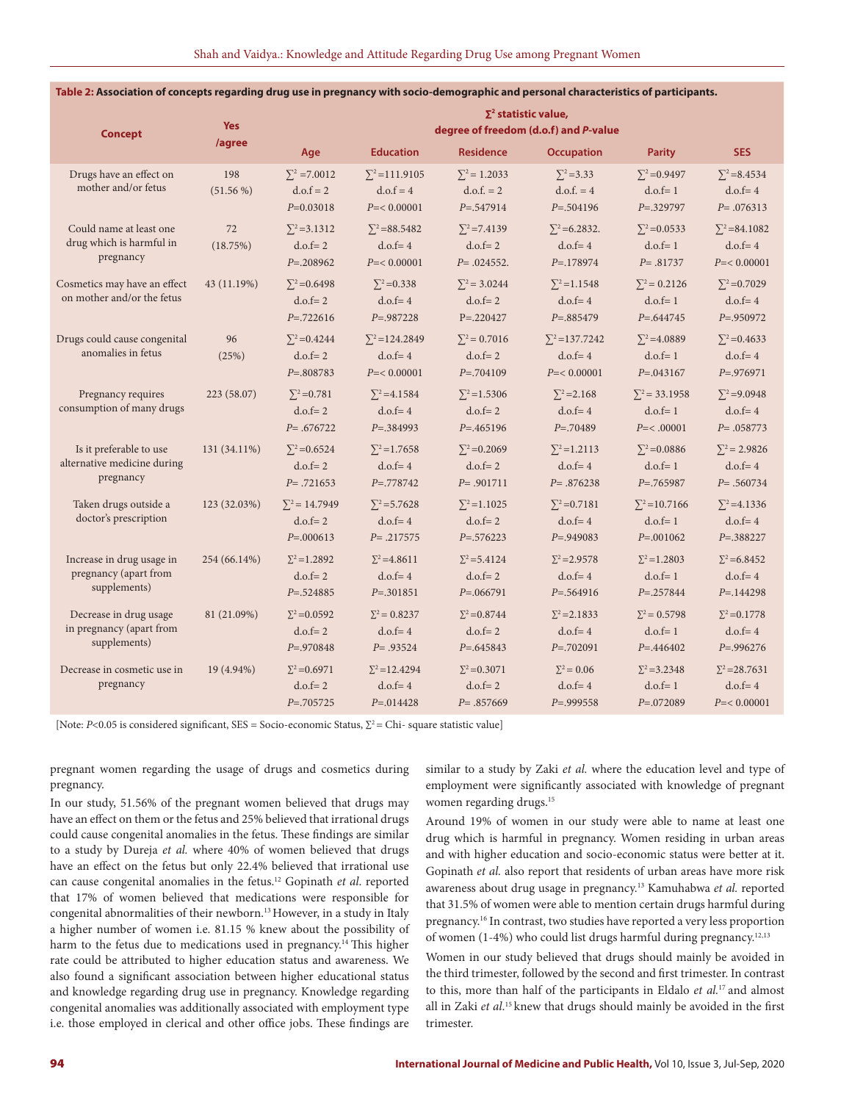| <b>Concept</b>                                                      | <b>Yes</b><br>/agree | $\Sigma^2$ statistic value,<br>degree of freedom (d.o.f) and P-value |                                                        |                                                      |                                                      |                                                      |                                                        |  |
|---------------------------------------------------------------------|----------------------|----------------------------------------------------------------------|--------------------------------------------------------|------------------------------------------------------|------------------------------------------------------|------------------------------------------------------|--------------------------------------------------------|--|
|                                                                     |                      | Age                                                                  | <b>Education</b>                                       | <b>Residence</b>                                     | <b>Occupation</b>                                    | <b>Parity</b>                                        | <b>SES</b>                                             |  |
| Drugs have an effect on<br>mother and/or fetus                      | 198<br>$(51.56\%)$   | $\Sigma^2$ =7.0012<br>$d.o.f = 2$<br>$P=0.03018$                     | $\Sigma^2$ =111.9105<br>$d.o.f = 4$<br>$P = 0.00001$   | $\Sigma^2$ = 1.2033<br>$d.o.f. = 2$<br>$P = 547914$  | $\Sigma^2 = 3.33$<br>$d.o.f. = 4$<br>$P = 504196$    | $\Sigma^2 = 0.9497$<br>$d.o.f=1$<br>$P = 329797$     | $\Sigma^2 = 8.4534$<br>$d.o.f = 4$<br>$P = .076313$    |  |
| Could name at least one<br>drug which is harmful in<br>pregnancy    | 72<br>(18.75%)       | $\Sigma^2$ =3.1312<br>$d.o.f = 2$<br>$P = 0.208962$                  | $\Sigma^2 = 88.5482$<br>$d.o.f = 4$<br>$P = < 0.00001$ | $\Sigma^2 = 7.4139$<br>$d.o.f = 2$<br>$P = .024552.$ | $\Sigma^2$ = 6.2832.<br>$d.o.f = 4$<br>$P = 178974$  | $\Sigma^2$ = 0.0533<br>$d.o.f=1$<br>$P = .81737$     | $\Sigma^2 = 84.1082$<br>$d.o.f = 4$<br>$P = < 0.00001$ |  |
| Cosmetics may have an effect<br>on mother and/or the fetus          | 43 (11.19%)          | $\Sigma^2$ =0.6498<br>$d.o.f = 2$<br>$P = 722616$                    | $\Sigma^2 = 0.338$<br>$d.o.f = 4$<br>$P = 0.987228$    | $\Sigma^2$ = 3.0244<br>$d.o.f = 2$<br>$P = 220427$   | $\Sigma^2$ =1.1548<br>$d.o.f = 4$<br>$P = .885479$   | $\Sigma^2 = 0.2126$<br>$d.o.f=1$<br>$P = 0.644745$   | $\Sigma^2$ =0.7029<br>$d.o.f = 4$<br>$P = .950972$     |  |
| Drugs could cause congenital<br>anomalies in fetus                  | 96<br>(25%)          | $\Sigma^2 = 0.4244$<br>$d.o.f = 2$<br>$P = 0.808783$                 | $\Sigma^2$ =124.2849<br>$d.o.f = 4$<br>$P = 0.00001$   | $\Sigma^2 = 0.7016$<br>$d.o.f = 2$<br>$P = 704109$   | $\Sigma^2$ =137.7242<br>$d.o.f = 4$<br>$P = 0.00001$ | $\Sigma^2$ = 4.0889<br>$d.o.f=1$<br>$P = 0.043167$   | $\Sigma^2$ =0.4633<br>$d.o.f = 4$<br>$P = 0.976971$    |  |
| Pregnancy requires<br>consumption of many drugs                     | 223 (58.07)          | $\Sigma^2 = 0.781$<br>$d.o.f = 2$<br>$P = .676722$                   | $\Sigma^2$ =4.1584<br>$d.o.f = 4$<br>$P = 0.384993$    | $\Sigma^2$ =1.5306<br>$d.o.f = 2$<br>$P = 0.465196$  | $\Sigma^2 = 2.168$<br>$d.o.f = 4$<br>$P = 70489$     | $\Sigma^2$ = 33.1958<br>$d.o.f = 1$<br>$P = <.00001$ | $\Sigma^2$ =9.0948<br>$d.o.f = 4$<br>$P = .058773$     |  |
| Is it preferable to use<br>alternative medicine during<br>pregnancy | 131 (34.11%)         | $\Sigma^2$ =0.6524<br>$d.o.f = 2$<br>$P = .721653$                   | $\Sigma^2$ =1.7658<br>$d.o.f = 4$<br>$P = 778742$      | $\Sigma^2 = 0.2069$<br>$d.o.f = 2$<br>$P = .901711$  | $\Sigma^2 = 1.2113$<br>$d.o.f = 4$<br>$P = .876238$  | $\Sigma^2 = 0.0886$<br>$d.o.f=1$<br>$P = 0.765987$   | $\Sigma^2$ = 2.9826<br>$d.o.f = 4$<br>$P = .560734$    |  |
| Taken drugs outside a<br>doctor's prescription                      | 123 (32.03%)         | $\Sigma^2$ = 14.7949<br>$d.o.f = 2$<br>$P = 0.000613$                | $\Sigma^2$ =5.7628<br>$d.o.f = 4$<br>$P = .217575$     | $\Sigma^2$ =1.1025<br>$d.o.f = 2$<br>$P = 0.576223$  | $\Sigma^2$ =0.7181<br>$d.o.f = 4$<br>$P = .949083$   | $\Sigma^2$ =10.7166<br>$d.o.f=1$<br>$P = 0.001062$   | $\Sigma^2$ =4.1336<br>$d.o.f = 4$<br>$P = 388227$      |  |
| Increase in drug usage in<br>pregnancy (apart from<br>supplements)  | 254 (66.14%)         | $\Sigma^2 = 1.2892$<br>$d.o.f = 2$<br>$P = 524885$                   | $\Sigma^2$ = 4.8611<br>$d.o.f = 4$<br>$P = .301851$    | $\Sigma^2$ =5.4124<br>$d.o.f = 2$<br>$P = 0.066791$  | $\Sigma^2 = 2.9578$<br>$d.o.f = 4$<br>$P = 0.564916$ | $\Sigma^2 = 1.2803$<br>$d.o.f = 1$<br>$P = 0.257844$ | $\Sigma^2$ = 6.8452<br>$d.o.f = 4$<br>$P = 144298$     |  |
| Decrease in drug usage<br>in pregnancy (apart from<br>supplements)  | 81 (21.09%)          | $\Sigma^2 = 0.0592$<br>$d.o.f = 2$<br>$P = 0.970848$                 | $\Sigma^2 = 0.8237$<br>$d.o.f = 4$<br>$P = .93524$     | $\Sigma^2 = 0.8744$<br>$d.o.f = 2$<br>$P = 645843$   | $\Sigma^2$ = 2.1833<br>$d.o.f = 4$<br>$P = 0.702091$ | $\Sigma^2 = 0.5798$<br>$d.o.f = 1$<br>$P = 0.446402$ | $\Sigma^2 = 0.1778$<br>$d.o.f = 4$<br>$P = 0.996276$   |  |
| Decrease in cosmetic use in<br>pregnancy                            | 19 (4.94%)           | $\Sigma^2$ = 0.6971<br>$d.o.f = 2$<br>$P = 0.705725$                 | $\Sigma^2$ =12.4294<br>$d.o.f = 4$<br>$P = 0.014428$   | $\Sigma^2$ =0.3071<br>$d.o.f = 2$<br>$P = .857669$   | $\Sigma^2 = 0.06$<br>$d.o.f = 4$<br>$P = .999558$    | $\Sigma^2$ = 3.2348<br>$d.o.f=1$<br>$P = 072089$     | $\Sigma^2$ =28.7631<br>$d.o.f = 4$<br>$P = < 0.00001$  |  |

#### **Table 2: Association of concepts regarding drug use in pregnancy with socio-demographic and personal characteristics of participants.**

[Note: *P*<0.05 is considered significant, SES = Socio-economic Status, Σ<sup>2</sup> = Chi- square statistic value]

pregnant women regarding the usage of drugs and cosmetics during pregnancy.

In our study, 51.56% of the pregnant women believed that drugs may have an effect on them or the fetus and 25% believed that irrational drugs could cause congenital anomalies in the fetus. These findings are similar to a study by Dureja *et al.* where 40% of women believed that drugs have an effect on the fetus but only 22.4% believed that irrational use can cause congenital anomalies in the fetus.12 Gopinath *et al*. reported that 17% of women believed that medications were responsible for congenital abnormalities of their newborn.13 However, in a study in Italy a higher number of women i.e. 81.15 % knew about the possibility of harm to the fetus due to medications used in pregnancy.<sup>14</sup> This higher rate could be attributed to higher education status and awareness. We also found a significant association between higher educational status and knowledge regarding drug use in pregnancy. Knowledge regarding congenital anomalies was additionally associated with employment type i.e. those employed in clerical and other office jobs. These findings are similar to a study by Zaki *et al.* where the education level and type of employment were significantly associated with knowledge of pregnant women regarding drugs.<sup>15</sup>

Around 19% of women in our study were able to name at least one drug which is harmful in pregnancy. Women residing in urban areas and with higher education and socio-economic status were better at it. Gopinath *et al.* also report that residents of urban areas have more risk awareness about drug usage in pregnancy.13 Kamuhabwa *et al.* reported that 31.5% of women were able to mention certain drugs harmful during pregnancy.16 In contrast, two studies have reported a very less proportion of women (1-4%) who could list drugs harmful during pregnancy.12,13

Women in our study believed that drugs should mainly be avoided in the third trimester, followed by the second and first trimester. In contrast to this, more than half of the participants in Eldalo *et al.*17 and almost all in Zaki *et al*. 15 knew that drugs should mainly be avoided in the first trimester.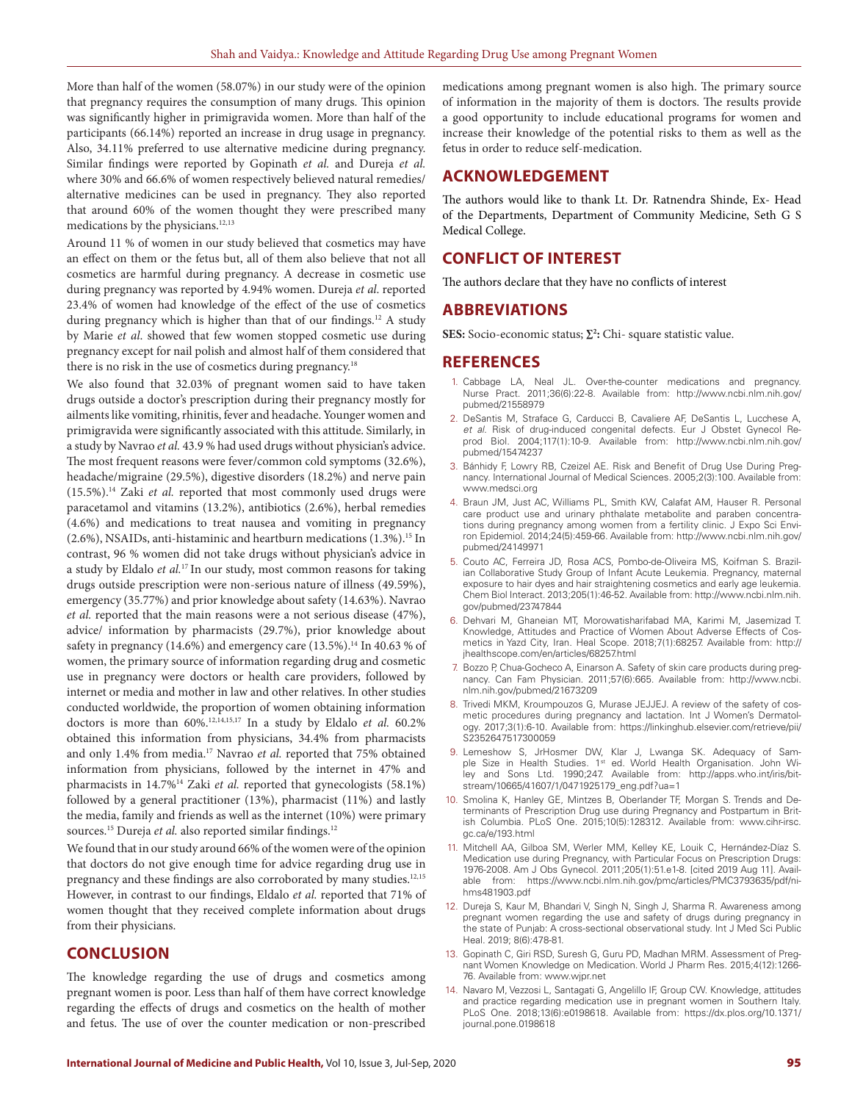More than half of the women (58.07%) in our study were of the opinion that pregnancy requires the consumption of many drugs. This opinion was significantly higher in primigravida women. More than half of the participants (66.14%) reported an increase in drug usage in pregnancy. Also, 34.11% preferred to use alternative medicine during pregnancy. Similar findings were reported by Gopinath *et al.* and Dureja *et al.* where 30% and 66.6% of women respectively believed natural remedies/ alternative medicines can be used in pregnancy. They also reported that around 60% of the women thought they were prescribed many medications by the physicians.<sup>12,13</sup>

Around 11 % of women in our study believed that cosmetics may have an effect on them or the fetus but, all of them also believe that not all cosmetics are harmful during pregnancy. A decrease in cosmetic use during pregnancy was reported by 4.94% women. Dureja *et al*. reported 23.4% of women had knowledge of the effect of the use of cosmetics during pregnancy which is higher than that of our findings.<sup>12</sup> A study by Marie *et al*. showed that few women stopped cosmetic use during pregnancy except for nail polish and almost half of them considered that there is no risk in the use of cosmetics during pregnancy.<sup>18</sup>

We also found that 32.03% of pregnant women said to have taken drugs outside a doctor's prescription during their pregnancy mostly for ailments like vomiting, rhinitis, fever and headache. Younger women and primigravida were significantly associated with this attitude. Similarly, in a study by Navrao *et al.* 43.9 % had used drugs without physician's advice. The most frequent reasons were fever/common cold symptoms (32.6%), headache/migraine (29.5%), digestive disorders (18.2%) and nerve pain (15.5%).14 Zaki *et al.* reported that most commonly used drugs were paracetamol and vitamins (13.2%), antibiotics (2.6%), herbal remedies (4.6%) and medications to treat nausea and vomiting in pregnancy (2.6%), NSAIDs, anti-histaminic and heartburn medications (1.3%).15 In contrast, 96 % women did not take drugs without physician's advice in a study by Eldalo *et al.*17 In our study, most common reasons for taking drugs outside prescription were non-serious nature of illness (49.59%), emergency (35.77%) and prior knowledge about safety (14.63%). Navrao *et al.* reported that the main reasons were a not serious disease (47%), advice/ information by pharmacists (29.7%), prior knowledge about safety in pregnancy (14.6%) and emergency care (13.5%).<sup>14</sup> In 40.63 % of women, the primary source of information regarding drug and cosmetic use in pregnancy were doctors or health care providers, followed by internet or media and mother in law and other relatives. In other studies conducted worldwide, the proportion of women obtaining information doctors is more than 60%.12,14,15,17 In a study by Eldalo *et al.* 60.2% obtained this information from physicians, 34.4% from pharmacists and only 1.4% from media.<sup>17</sup> Navrao *et al.* reported that 75% obtained information from physicians, followed by the internet in 47% and pharmacists in 14.7%<sup>14</sup> Zaki et al. reported that gynecologists (58.1%) followed by a general practitioner (13%), pharmacist (11%) and lastly the media, family and friends as well as the internet (10%) were primary sources.<sup>15</sup> Dureja et al. also reported similar findings.<sup>12</sup>

We found that in our study around 66% of the women were of the opinion that doctors do not give enough time for advice regarding drug use in pregnancy and these findings are also corroborated by many studies.<sup>12,15</sup> However, in contrast to our findings, Eldalo *et al.* reported that 71% of women thought that they received complete information about drugs from their physicians.

## **CONCLUSION**

The knowledge regarding the use of drugs and cosmetics among pregnant women is poor. Less than half of them have correct knowledge regarding the effects of drugs and cosmetics on the health of mother and fetus. The use of over the counter medication or non-prescribed

medications among pregnant women is also high. The primary source of information in the majority of them is doctors. The results provide a good opportunity to include educational programs for women and increase their knowledge of the potential risks to them as well as the fetus in order to reduce self-medication.

### **ACKNOWLEDGEMENT**

The authors would like to thank Lt. Dr. Ratnendra Shinde, Ex- Head of the Departments, Department of Community Medicine, Seth G S Medical College.

## **CONFLICT OF INTEREST**

The authors declare that they have no conflicts of interest

#### **ABBREVIATIONS**

**SES:** Socio-economic status; **∑2 :** Chi- square statistic value.

#### **REFERENCES**

- 1. Cabbage LA, Neal JL. Over-the-counter medications and pregnancy. Nurse Pract. 2011;36(6):22-8. Available from: http://www.ncbi.nlm.nih.gov/ pubmed/21558979
- 2. DeSantis M, Straface G, Carducci B, Cavaliere AF, DeSantis L, Lucchese A, *et al.* Risk of drug-induced congenital defects. Eur J Obstet Gynecol Reprod Biol. 2004;117(1):10-9. Available from: http://www.ncbi.nlm.nih.gov/ pubmed/15474237
- 3. Bánhidy F, Lowry RB, Czeizel AE. Risk and Benefit of Drug Use During Pregnancy. International Journal of Medical Sciences. 2005;2(3):100. Available from: www.medsci.org
- 4. Braun JM, Just AC, Williams PL, Smith KW, Calafat AM, Hauser R. Personal care product use and urinary phthalate metabolite and paraben concentrations during pregnancy among women from a fertility clinic. J Expo Sci Environ Epidemiol. 2014;24(5):459-66. Available from: http://www.ncbi.nlm.nih.gov/ pubmed/24149971
- 5. Couto AC, Ferreira JD, Rosa ACS, Pombo-de-Oliveira MS, Koifman S. Brazilian Collaborative Study Group of Infant Acute Leukemia. Pregnancy, maternal exposure to hair dyes and hair straightening cosmetics and early age leukemia. Chem Biol Interact. 2013;205(1):46-52. Available from: http://www.ncbi.nlm.nih. gov/pubmed/23747844
- 6. Dehvari M, Ghaneian MT, Morowatisharifabad MA, Karimi M, Jasemizad T. Knowledge, Attitudes and Practice of Women About Adverse Effects of Cosmetics in Yazd City, Iran. Heal Scope. 2018;7(1):68257. Available from: http:// jhealthscope.com/en/articles/68257.html
- 7. Bozzo P, Chua-Gocheco A, Einarson A. Safety of skin care products during pregnancy. Can Fam Physician. 2011;57(6):665. Available from: http://www.ncbi. nlm.nih.gov/pubmed/21673209
- 8. Trivedi MKM, Kroumpouzos G, Murase JEJJEJ. A review of the safety of cosmetic procedures during pregnancy and lactation. Int J Women's Dermatology. 2017;3(1):6-10. Available from: https://linkinghub.elsevier.com/retrieve/pii/ S2352647517300059
- 9. Lemeshow S, JrHosmer DW, Klar J, Lwanga SK. Adequacy of Sample Size in Health Studies. 1<sup>st</sup> ed. World Health Organisation. John Wiley and Sons Ltd. 1990;247. Available from: http://apps.who.int/iris/bitstream/10665/41607/1/0471925179\_eng.pdf?ua=1
- 10. Smolina K, Hanley GE, Mintzes B, Oberlander TF, Morgan S. Trends and Determinants of Prescription Drug use during Pregnancy and Postpartum in British Columbia. PLoS One. 2015;10(5):128312. Available from: www.cihr-irsc. gc.ca/e/193.html
- 11. Mitchell AA, Gilboa SM, Werler MM, Kelley KE, Louik C, Hernández-Díaz S. Medication use during Pregnancy, with Particular Focus on Prescription Drugs: 1976-2008. Am J Obs Gynecol. 2011;205(1):51.e1-8. [cited 2019 Aug 11]. Available from: https://www.ncbi.nlm.nih.gov/pmc/articles/PMC3793635/pdf/nihms481903.pdf
- 12. Dureja S, Kaur M, Bhandari V, Singh N, Singh J, Sharma R. Awareness among pregnant women regarding the use and safety of drugs during pregnancy in the state of Punjab: A cross-sectional observational study. Int J Med Sci Public Heal. 2019; 8(6):478-81.
- 13. Gopinath C, Giri RSD, Suresh G, Guru PD, Madhan MRM. Assessment of Pregnant Women Knowledge on Medication. World J Pharm Res. 2015;4(12):1266- 76. Available from: www.wjpr.net
- 14. Navaro M, Vezzosi L, Santagati G, Angelillo IF, Group CW. Knowledge, attitudes and practice regarding medication use in pregnant women in Southern Italy. PLoS One. 2018;13(6):e0198618. Available from: https://dx.plos.org/10.1371/ journal.pone.0198618